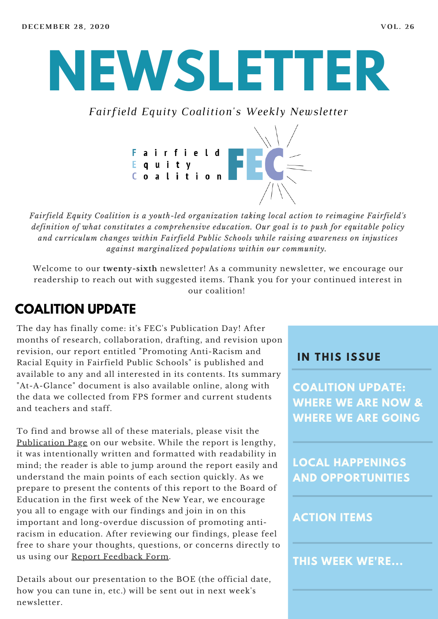# **NEWSLETTER**

*Fairfield Equity Coalition's Weekly Newsletter*



*Fairfield Equity Coalition is a youth-led organization taking local action to reimagine Fairfield's definition of what constitutes a comprehensive education. Our goal is to push for equitable policy and curriculum changes within Fairfield Public Schools while raising awareness on injustices against marginalized populations within our community.*

Welcome to our **twenty-sixth** newsletter! As a community newsletter, we encourage our readership to reach out with suggested items. Thank you for your continued interest in our coalition!

### **COALITION UPDATE**

The day has finally come: it's FEC's Publication Day! After months of research, collaboration, drafting, and revision upon revision, our report entitled "Promoting Anti-Racism and Racial Equity in Fairfield Public Schools" is published and available to any and all interested in its contents. Its summary "At-A-Glance" document is also available online, along with the data we collected from FPS former and current students and teachers and staff.

To find and browse all of these materials, please visit the [Publication](https://www.fairfieldequitycoalition.org/promotinganti-racismandracialequity) Page on our website. While the report is lengthy, it was intentionally written and formatted with readability in mind; the reader is able to jump around the report easily and understand the main points of each section quickly. As we prepare to present the contents of this report to the Board of Education in the first week of the New Year, we encourage you all to engage with our findings and join in on this important and long-overdue discussion of promoting antiracism in education. After reviewing our findings, please feel free to share your thoughts, questions, or concerns directly to us using our Report [Feedback](https://docs.google.com/forms/d/e/1FAIpQLScY9Dz6097MxFdk9-UGAu6T-qz2bcMlfVvN4zxnr6QquCVIQA/viewform?usp=send_form&usp=embed_facebook) Form.

Details about our presentation to the BOE (the official date, how you can tune in, etc.) will be sent out in next week's newsletter.

#### **I N THIS ISSUE**

**COALITION UPDATE: WHERE WE ARE NOW & WHERE WE ARE GOING**

**LOCAL HAPPENINGS AND OPPORTUNITIES**

#### **ACTION ITEMS**

**THIS WEEK WE'RE...**